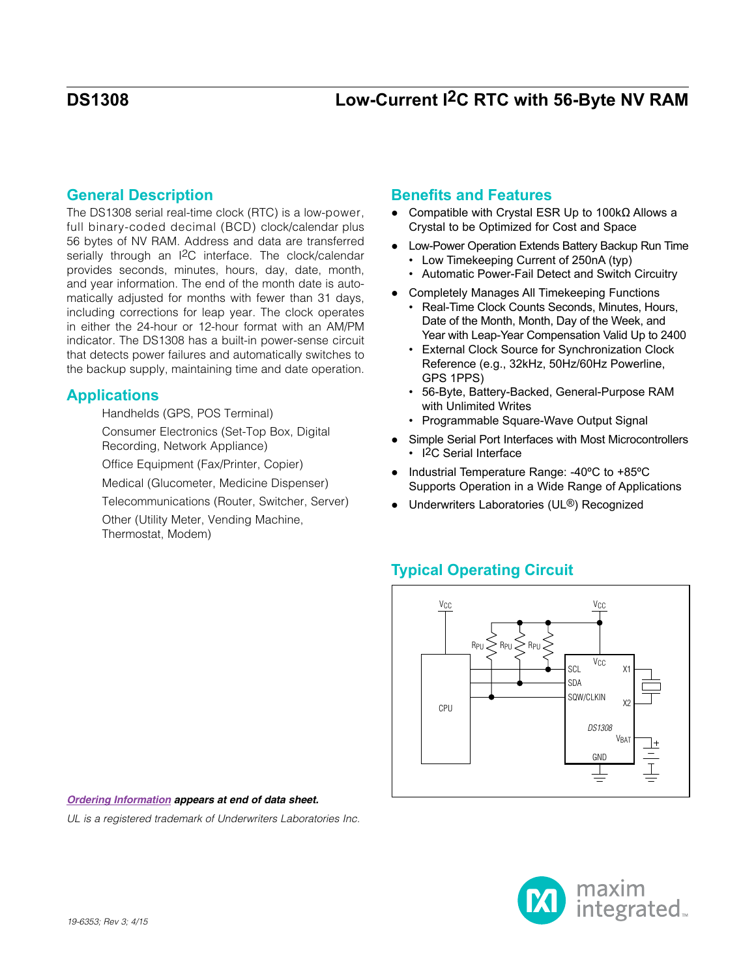## **General Description**

The DS1308 serial real-time clock (RTC) is a low-power, full binary-coded decimal (BCD) clock/calendar plus 56 bytes of NV RAM. Address and data are transferred serially through an I2C interface. The clock/calendar provides seconds, minutes, hours, day, date, month, and year information. The end of the month date is automatically adjusted for months with fewer than 31 days, including corrections for leap year. The clock operates in either the 24-hour or 12-hour format with an AM/PM indicator. The DS1308 has a built-in power-sense circuit that detects power failures and automatically switches to the backup supply, maintaining time and date operation.

## **Applications**

Handhelds (GPS, POS Terminal)

Consumer Electronics (Set-Top Box, Digital Recording, Network Appliance)

Office Equipment (Fax/Printer, Copier)

Medical (Glucometer, Medicine Dispenser)

Telecommunications (Router, Switcher, Server)

Other (Utility Meter, Vending Machine, Thermostat, Modem)

## **Benefits and Features**

- Compatible with Crystal ESR Up to 100kΩ Allows a Crystal to be Optimized for Cost and Space
- Low-Power Operation Extends Battery Backup Run Time
	- Low Timekeeping Current of 250nA (typ)
	- Automatic Power-Fail Detect and Switch Circuitry
- Completely Manages All Timekeeping Functions
	- Real-Time Clock Counts Seconds, Minutes, Hours, Date of the Month, Month, Day of the Week, and Year with Leap-Year Compensation Valid Up to 2400
	- External Clock Source for Synchronization Clock Reference (e.g., 32kHz, 50Hz/60Hz Powerline, GPS 1PPS)
	- 56-Byte, Battery-Backed, General-Purpose RAM with Unlimited Writes
	- Programmable Square-Wave Output Signal
- Simple Serial Port Interfaces with Most Microcontrollers • I<sup>2</sup>C Serial Interface
- Industrial Temperature Range: -40ºC to +85ºC Supports Operation in a Wide Range of Applications
- Underwriters Laboratories (UL<sup>®</sup>) Recognized

## **Typical Operating Circuit**



#### *[Ordering Information](#page-14-0) appears at end of data sheet.*

*UL is a registered trademark of Underwriters Laboratories Inc.*

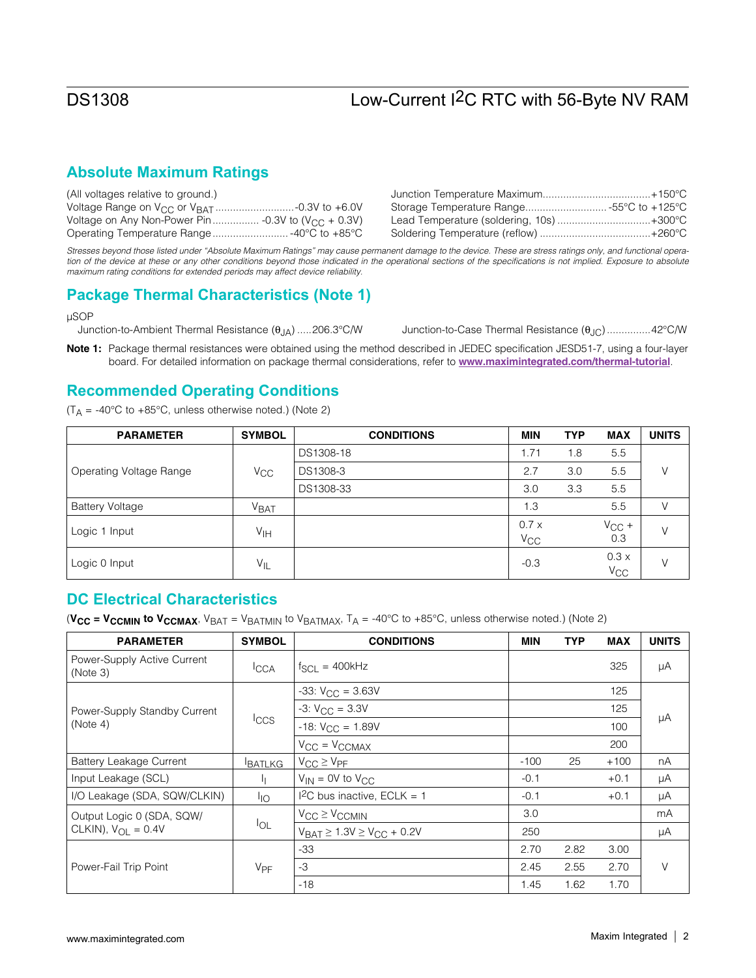## **Absolute Maximum Ratings**

| (All voltages relative to ground.) |                                         |
|------------------------------------|-----------------------------------------|
|                                    | Storage Temperature Range55°C to +125°C |
|                                    | Lead Temperature (soldering, 10s)+300°C |
|                                    |                                         |

*Stresses beyond those listed under "Absolute Maximum Ratings" may cause permanent damage to the device. These are stress ratings only, and functional opera*tion of the device at these or any other conditions beyond those indicated in the operational sections of the specifications is not implied. Exposure to absolute *maximum rating conditions for extended periods may affect device reliability.*

## **Package Thermal Characteristics (Note 1)**

uSOP

Junction-to-Ambient Thermal Resistance  $(\theta_{JA})$  .....206.3°C/W Junction-to-Case Thermal Resistance  $(\theta_{JC})$  ...............42°C/W

Note 1: Package thermal resistances were obtained using the method described in JEDEC specification JESD51-7, using a four-layer board. For detailed information on package thermal considerations, refer to <www.maximintegrated.com/thermal-tutorial>.

## **Recommended Operating Conditions**

 $(T_A = -40^{\circ}$ C to  $+85^{\circ}$ C, unless otherwise noted.) (Note 2)

| <b>PARAMETER</b>        | <b>SYMBOL</b>     | <b>CONDITIONS</b> | <b>MIN</b>       | <b>TYP</b> | <b>MAX</b>           | <b>UNITS</b> |
|-------------------------|-------------------|-------------------|------------------|------------|----------------------|--------------|
|                         |                   | DS1308-18         | 1.71             | 1.8        | 5.5                  |              |
| Operating Voltage Range | $V_{\rm CC}$      | DS1308-3          | 2.7              | 3.0        | 5.5                  | V            |
|                         |                   | DS1308-33         | 3.0              | 3.3        | 5.5                  |              |
| <b>Battery Voltage</b>  | V <sub>BAT</sub>  |                   | 1.3              |            | 5.5                  | V            |
| Logic 1 Input           | V <sub>IH</sub>   |                   | 0.7x<br>$V_{CC}$ |            | $V_{CC}$ +<br>0.3    | V            |
| Logic 0 Input           | $V_{\mathsf{IL}}$ |                   | $-0.3$           |            | 0.3x<br>$V_{\rm CC}$ | V            |

## **DC Electrical Characteristics**

(V<sub>CC</sub> = V<sub>CCMIN</sub> to V<sub>CCMAX</sub>, V<sub>BAT</sub> = V<sub>BATMIN</sub> to V<sub>BATMAX</sub>, T<sub>A</sub> = -40°C to +85°C, unless otherwise noted.) (Note 2)

| <b>PARAMETER</b>                        | <b>SYMBOL</b>         | <b>CONDITIONS</b>                       | <b>MIN</b> | <b>TYP</b> | <b>MAX</b> | <b>UNITS</b> |
|-----------------------------------------|-----------------------|-----------------------------------------|------------|------------|------------|--------------|
| Power-Supply Active Current<br>(Note 3) | <b>ICCA</b>           | $f_{SCL} = 400kHz$                      |            |            | 325        | μA           |
|                                         |                       | $-33: V_{CC} = 3.63V$                   |            |            | 125        |              |
| Power-Supply Standby Current            |                       | $-3: VCC = 3.3V$                        |            |            | 125        |              |
| (Note 4)                                | $ _{CCS}$             | $-18: V_{CC} = 1.89V$                   |            |            | 100        | μA           |
|                                         |                       | $V_{CC} = V_{CCMAX}$                    |            |            | 200        |              |
| <b>Battery Leakage Current</b>          | <b>BATLKG</b>         | $V_{CC} \geq V_{PF}$                    | $-100$     | 25         | $+100$     | nA           |
| Input Leakage (SCL)                     |                       | $V_{IN} = 0V$ to $V_{C}C$               | $-0.1$     |            | $+0.1$     | μA           |
| I/O Leakage (SDA, SQW/CLKIN)            | $I_{\text{IO}}$       | I <sup>2</sup> C bus inactive, ECLK = 1 | $-0.1$     |            | $+0.1$     | μA           |
| Output Logic 0 (SDA, SQW/               |                       | $V_{CC} \geq V_{CCMIN}$                 | 3.0        |            |            | mA           |
| CLKIN), $V_{\text{OI}} = 0.4V$          | $I_{OL}$              | $V_{BAT} \ge 1.3V \ge V_{CC} + 0.2V$    | 250        |            |            | μA           |
|                                         |                       | $-33$                                   | 2.70       | 2.82       | 3.00       |              |
| Power-Fail Trip Point                   | <b>V<sub>PF</sub></b> | -3                                      | 2.45       | 2.55       | 2.70       | V            |
|                                         |                       | $-18$                                   | 1.45       | 1.62       | 1.70       |              |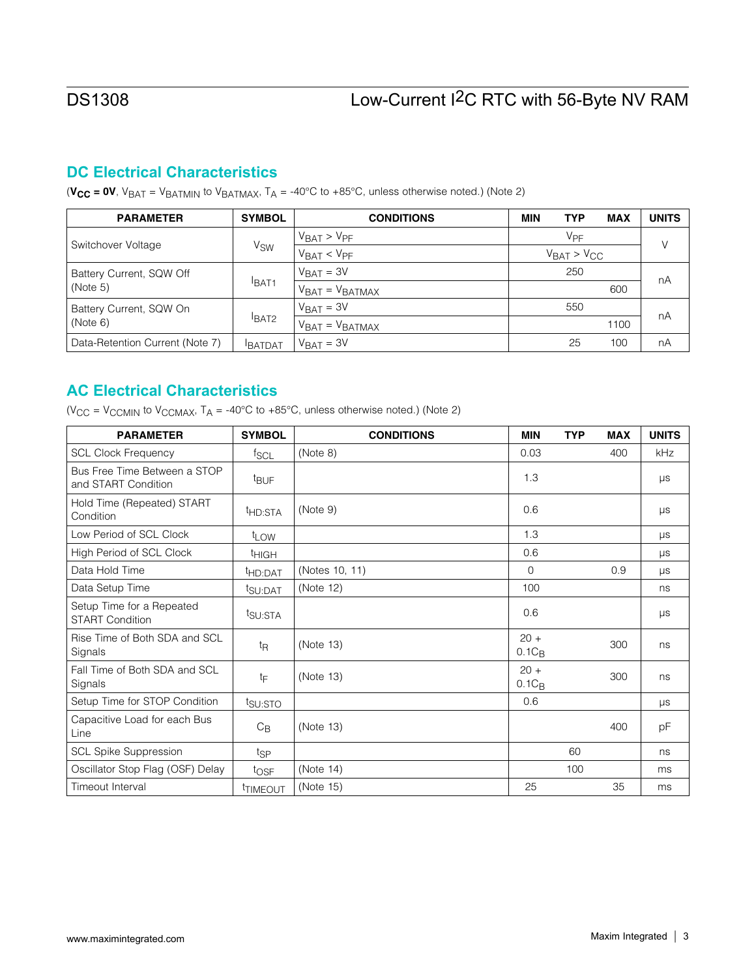## **DC Electrical Characteristics**

( $V_{CC} = 0V$ ,  $V_{BAT} = V_{BATMIN}$  to  $V_{BATMAX}$ ,  $T_A = -40^{\circ}C$  to  $+85^{\circ}C$ , unless otherwise noted.) (Note 2)

| <b>PARAMETER</b>                | <b>SYMBOL</b>         | <b>CONDITIONS</b>                  | <b>MIN</b>           | <b>TYP</b>      | <b>MAX</b> | <b>UNITS</b> |
|---------------------------------|-----------------------|------------------------------------|----------------------|-----------------|------------|--------------|
| Switchover Voltage              |                       | $V_{BAT}$ > $V_{PF}$               |                      | V <sub>PF</sub> |            | V            |
|                                 | <b>V<sub>SW</sub></b> | V <sub>BAT</sub> < V <sub>PF</sub> | $V_{BAT}$ > $V_{CC}$ |                 |            |              |
| Battery Current, SQW Off        |                       | $V_{BAT} = 3V$                     |                      | 250             |            | nA           |
| (Note 5)                        | <b>BAT1</b>           | 600<br>$VBAT = VBATMAX$            |                      |                 |            |              |
| Battery Current, SQW On         |                       | $V_{\text{BAT}} = 3V$              |                      | 550             |            | nA           |
| (Note 6)                        | BAT2                  | $VBAT = VBATMAX$                   |                      | 1100            |            |              |
| Data-Retention Current (Note 7) | <b>BATDAT</b>         | $V_{\text{BAT}} = 3V$              |                      | 25              | 100        | nA           |

## **AC Electrical Characteristics**

( $V_{CC}$  =  $V_{CCMIN}$  to  $V_{CCMAX}$ , T<sub>A</sub> = -40°C to +85°C, unless otherwise noted.) (Note 2)

| <b>PARAMETER</b>                                    | <b>SYMBOL</b>       | <b>CONDITIONS</b> | <b>MIN</b>         | <b>TYP</b> | <b>MAX</b> | <b>UNITS</b> |
|-----------------------------------------------------|---------------------|-------------------|--------------------|------------|------------|--------------|
| <b>SCL Clock Frequency</b>                          | $f_{SCL}$           | (Note 8)          | 0.03               |            | 400        | kHz          |
| Bus Free Time Between a STOP<br>and START Condition | <sup>t</sup> BUF    |                   | 1.3                |            |            | μs           |
| Hold Time (Repeated) START<br>Condition             | <sup>t</sup> HD:STA | (Note 9)          | 0.6                |            |            | μs           |
| Low Period of SCL Clock                             | t <sub>LOW</sub>    |                   | 1.3                |            |            | $\mu s$      |
| High Period of SCL Clock                            | <sup>t</sup> HIGH   |                   | 0.6                |            |            | μs           |
| Data Hold Time                                      | <sup>t</sup> HD:DAT | (Notes 10, 11)    | $\Omega$           |            | 0.9        | <b>LIS</b>   |
| Data Setup Time                                     | t <sub>SU:DAT</sub> | (Note 12)         | 100                |            |            | ns           |
| Setup Time for a Repeated<br><b>START Condition</b> | t <sub>SU:STA</sub> |                   | 0.6                |            |            | μs           |
| Rise Time of Both SDA and SCL<br>Signals            | t <sub>R</sub>      | (Note 13)         | $20 +$<br>$0.1C_B$ |            | 300        | ns           |
| Fall Time of Both SDA and SCL<br>Signals            | tF                  | (Note 13)         | $20 +$<br>$0.1C_B$ |            | 300        | ns           |
| Setup Time for STOP Condition                       | t <sub>SU:STO</sub> |                   | 0.6                |            |            | μs           |
| Capacitive Load for each Bus<br>Line                | $C_{\mathsf{B}}$    | (Note 13)         |                    |            | 400        | рF           |
| SCL Spike Suppression                               | t <sub>SP</sub>     |                   |                    | 60         |            | ns           |
| Oscillator Stop Flag (OSF) Delay                    | $t_{\text{OSF}}$    | (Note 14)         |                    | 100        |            | ms           |
| Timeout Interval                                    | <b>TIMEOUT</b>      | (Note 15)         | 25                 |            | 35         | ms           |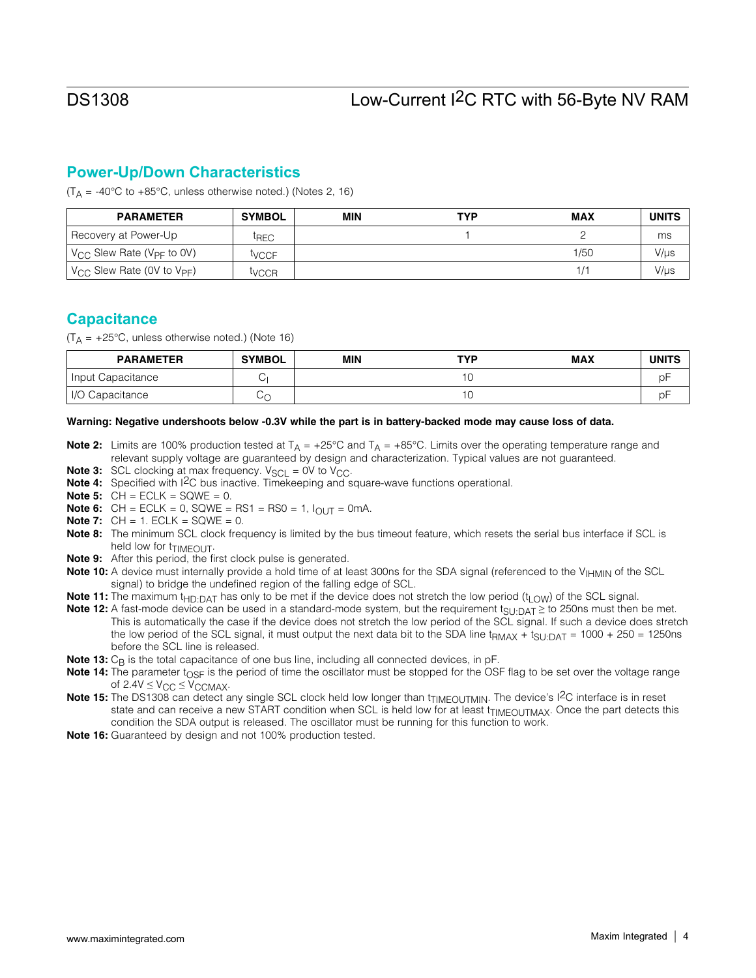## **Power-Up/Down Characteristics**

 $(T_A = -40^{\circ}$ C to  $+85^{\circ}$ C, unless otherwise noted.) (Notes 2, 16)

| <b>PARAMETER</b>                                   | <b>SYMBOL</b>     | <b>MIN</b> | <b>TYP</b> | <b>MAX</b>              | <b>UNITS</b> |
|----------------------------------------------------|-------------------|------------|------------|-------------------------|--------------|
| Recovery at Power-Up                               | <sup>I</sup> REC  |            |            |                         | ms           |
| V <sub>CC</sub> Slew Rate (V <sub>PF</sub> to 0V)  | <sup>I</sup> VCCF |            |            | 1/50                    | V/µs         |
| V <sub>CC</sub> Slew Rate (0V to V <sub>PF</sub> ) | <sup>[</sup> VCCR |            |            | $\mathsf{I}/\mathsf{I}$ | V/µs         |

## **Capacitance**

 $(T_A = +25^{\circ}C$ , unless otherwise noted.) (Note 16)

| <b>PARAMETER</b>     | <b>SYMBOL</b> | <b>MIN</b> | <b>TYP</b> | <b>MAX</b> | <b>UNITS</b> |
|----------------------|---------------|------------|------------|------------|--------------|
| Input Capacitance    |               |            |            |            | рF           |
| 1/O<br>) Capacitance | ىر            |            | ∪י         |            | рF           |

#### Warning: Negative undershoots below -0.3V while the part is in battery-backed mode may cause loss of data.

- **Note 2:** Limits are 100% production tested at  $T_A = +25^{\circ}C$  and  $T_A = +85^{\circ}C$ . Limits over the operating temperature range and relevant supply voltage are guaranteed by design and characterization. Typical values are not guaranteed.
- **Note 3:** SCL clocking at max frequency.  $V_{SCL} = 0V$  to  $V_{CC}$ .
- Note 4: Specified with I<sup>2</sup>C bus inactive. Timekeeping and square-wave functions operational.
- **Note 5:**  $CH = ECLK = SQWE = 0$ .
- **Note 6:** CH = ECLK = 0, SQWE = RS1 = RS0 = 1,  $I_{\text{OUT}}$  = 0mA.
- **Note 7:**  $CH = 1$ .  $ECLK = SQWE = 0$ .
- Note 8: The minimum SCL clock frequency is limited by the bus timeout feature, which resets the serial bus interface if SCL is held low for t<sub>TIMEOUT</sub>.
- Note 9: After this period, the first clock pulse is generated.
- Note 10: A device must internally provide a hold time of at least 300ns for the SDA signal (referenced to the V<sub>IHMIN</sub> of the SCL signal) to bridge the undefined region of the falling edge of SCL.
- Note 11: The maximum t<sub>HD:DAT</sub> has only to be met if the device does not stretch the low period (t<sub>LOW</sub>) of the SCL signal.
- **Note 12:** A fast-mode device can be used in a standard-mode system, but the requirement  $t_{\text{SI:DAT}} \ge$  to 250ns must then be met. This is automatically the case if the device does not stretch the low period of the SCL signal. If such a device does stretch the low period of the SCL signal, it must output the next data bit to the SDA line t<sub>RMAX</sub> + t<sub>SU:DAT</sub> = 1000 + 250 = 1250ns before the SCL line is released.
- **Note 13:**  $C_B$  is the total capacitance of one bus line, including all connected devices, in  $pF$ .
- Note 14: The parameter  $t_{\rm OSF}$  is the period of time the oscillator must be stopped for the OSF flag to be set over the voltage range of  $2.4V \leq V_{CC} \leq V_{CCMAX}$ .
- Note 15: The DS1308 can detect any single SCL clock held low longer than t<sub>TIMEOUTMIN</sub>. The device's I<sup>2</sup>C interface is in reset state and can receive a new START condition when SCL is held low for at least t<sub>TIMEOUTMAX</sub>. Once the part detects this condition the SDA output is released. The oscillator must be running for this function to work.
- Note 16: Guaranteed by design and not 100% production tested.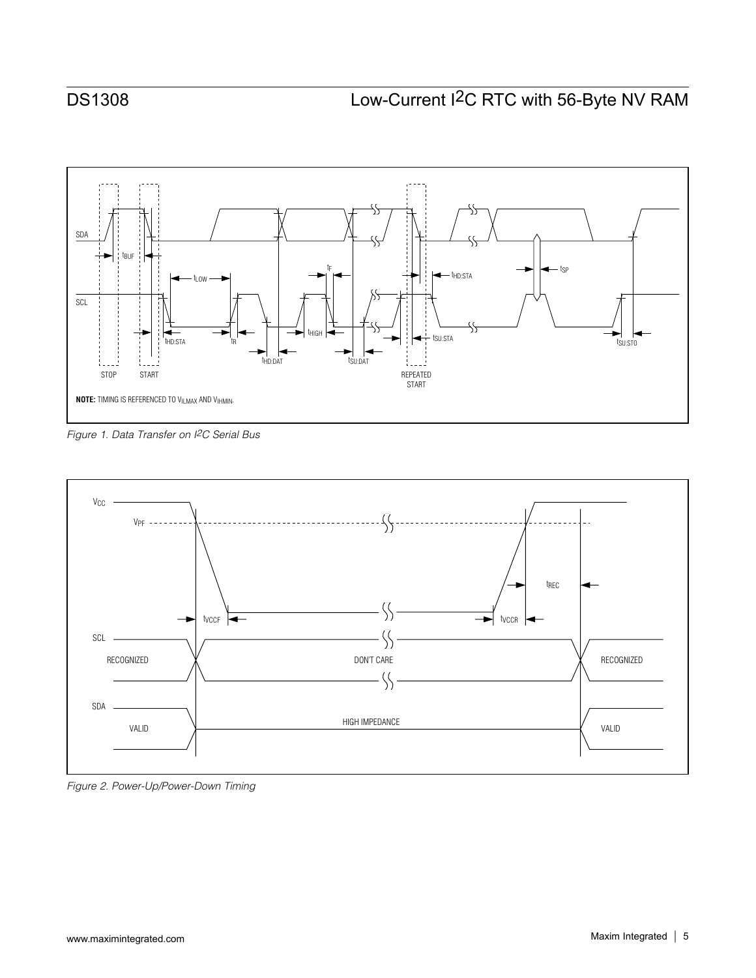<span id="page-4-0"></span>

*Figure 1. Data Transfer on I2C Serial Bus*



*Figure 2. Power-Up/Power-Down Timing*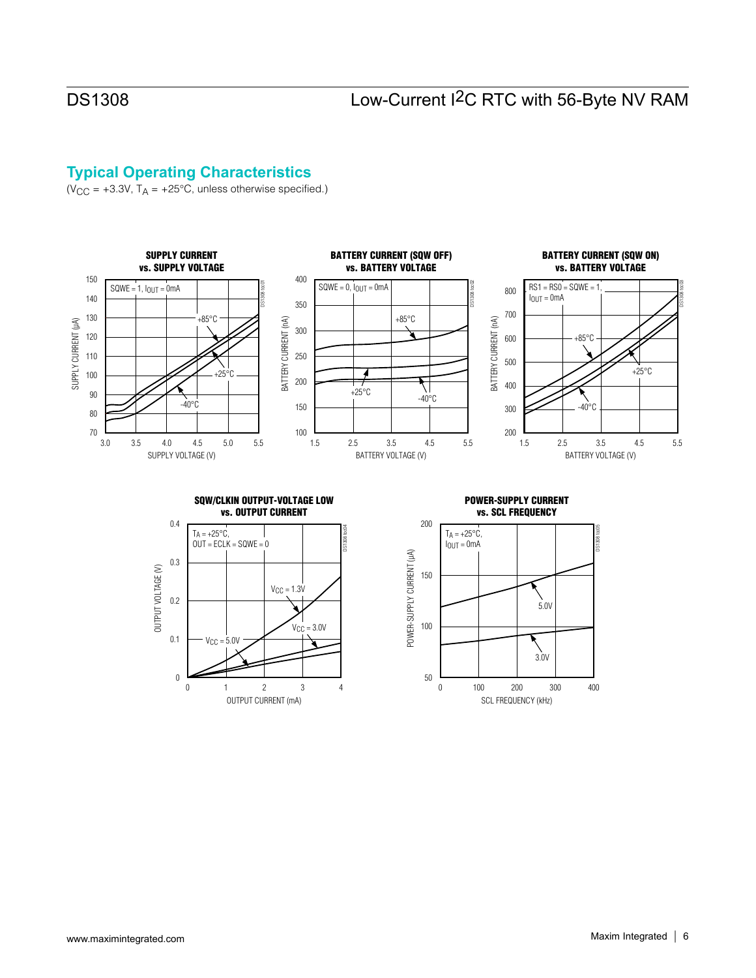## **Typical Operating Characteristics**

 $(V_{CC} = +3.3V, T_A = +25°C,$  unless otherwise specified.)

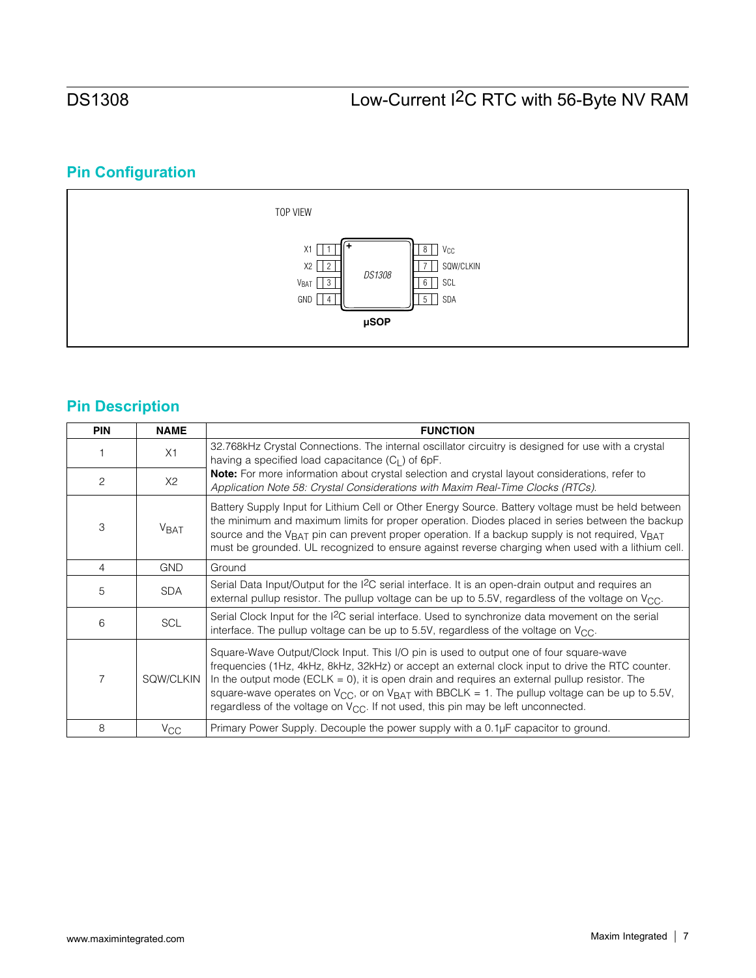# **Pin Configuration**



# **Pin Description**

| <b>PIN</b>     | <b>NAME</b>             | <b>FUNCTION</b>                                                                                                                                                                                                                                                                                                                                                                                                                                                                                                 |
|----------------|-------------------------|-----------------------------------------------------------------------------------------------------------------------------------------------------------------------------------------------------------------------------------------------------------------------------------------------------------------------------------------------------------------------------------------------------------------------------------------------------------------------------------------------------------------|
|                | X1                      | 32.768kHz Crystal Connections. The internal oscillator circuitry is designed for use with a crystal<br>having a specified load capacitance $(C_1)$ of 6pF.                                                                                                                                                                                                                                                                                                                                                      |
| 2              | X2                      | Note: For more information about crystal selection and crystal layout considerations, refer to<br>Application Note 58: Crystal Considerations with Maxim Real-Time Clocks (RTCs).                                                                                                                                                                                                                                                                                                                               |
| 3              | <b>V</b> <sub>BAT</sub> | Battery Supply Input for Lithium Cell or Other Energy Source. Battery voltage must be held between<br>the minimum and maximum limits for proper operation. Diodes placed in series between the backup<br>source and the V <sub>BAT</sub> pin can prevent proper operation. If a backup supply is not required, V <sub>BAT</sub><br>must be grounded. UL recognized to ensure against reverse charging when used with a lithium cell.                                                                            |
| $\overline{4}$ | <b>GND</b>              | Ground                                                                                                                                                                                                                                                                                                                                                                                                                                                                                                          |
| 5              | <b>SDA</b>              | Serial Data Input/Output for the I <sup>2</sup> C serial interface. It is an open-drain output and requires an<br>external pullup resistor. The pullup voltage can be up to 5.5V, regardless of the voltage on $V_{\text{CC}}$ .                                                                                                                                                                                                                                                                                |
| 6              | <b>SCL</b>              | Serial Clock Input for the I <sup>2</sup> C serial interface. Used to synchronize data movement on the serial<br>interface. The pullup voltage can be up to 5.5V, regardless of the voltage on $V_{\text{CC}}$ .                                                                                                                                                                                                                                                                                                |
| 7              | SQW/CLKIN               | Square-Wave Output/Clock Input. This I/O pin is used to output one of four square-wave<br>frequencies (1Hz, 4kHz, 8kHz, 32kHz) or accept an external clock input to drive the RTC counter.<br>In the output mode (ECLK = 0), it is open drain and requires an external pullup resistor. The<br>square-wave operates on V <sub>CC</sub> , or on V <sub>BAT</sub> with BBCLK = 1. The pullup voltage can be up to 5.5V,<br>regardless of the voltage on $V_{CC}$ . If not used, this pin may be left unconnected. |
| 8              | $V_{\rm CC}$            | Primary Power Supply. Decouple the power supply with a 0.1µF capacitor to ground.                                                                                                                                                                                                                                                                                                                                                                                                                               |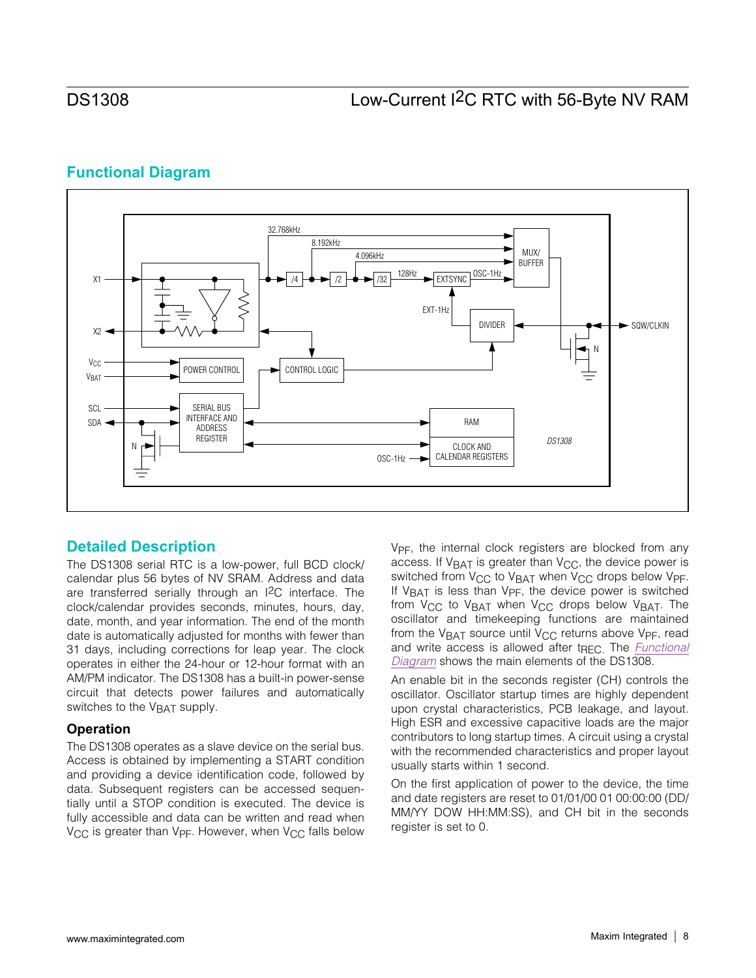## <span id="page-7-0"></span>**Functional Diagram**



## **Detailed Description**

The DS1308 serial RTC is a low-power, full BCD clock/ calendar plus 56 bytes of NV SRAM. Address and data are transferred serially through an I2C interface. The clock/calendar provides seconds, minutes, hours, day, date, month, and year information. The end of the month date is automatically adjusted for months with fewer than 31 days, including corrections for leap year. The clock operates in either the 24-hour or 12-hour format with an AM/PM indicator. The DS1308 has a built-in power-sense circuit that detects power failures and automatically switches to the V<sub>BAT</sub> supply.

### **Operation**

The DS1308 operates as a slave device on the serial bus. Access is obtained by implementing a START condition and providing a device identification code, followed by data. Subsequent registers can be accessed sequentially until a STOP condition is executed. The device is fully accessible and data can be written and read when  $V_{CC}$  is greater than  $V_{PF}$ . However, when  $V_{CC}$  falls below

V<sub>PF</sub>, the internal clock registers are blocked from any access. If  $V_{BAT}$  is greater than  $V_{CC}$ , the device power is switched from  $V_{CC}$  to  $V_{BAT}$  when  $V_{CC}$  drops below  $V_{PF}$ . If V<sub>BAT</sub> is less than V<sub>PF</sub>, the device power is switched from V<sub>CC</sub> to V<sub>BAT</sub> when V<sub>CC</sub> drops below V<sub>BAT</sub>. The oscillator and timekeeping functions are maintained from the  $V_{BAT}$  source until  $V_{CC}$  returns above  $V_{PF}$ , read and write access is allowed after t<sub>RFC</sub>. The *[Functional](#page-7-0) [Diagram](#page-7-0)* shows the main elements of the DS1308.

An enable bit in the seconds register (CH) controls the oscillator. Oscillator startup times are highly dependent upon crystal characteristics, PCB leakage, and layout. High ESR and excessive capacitive loads are the major contributors to long startup times. A circuit using a crystal with the recommended characteristics and proper layout usually starts within 1 second.

On the first application of power to the device, the time and date registers are reset to 01/01/00 01 00:00:00 (DD/ MM/YY DOW HH:MM:SS), and CH bit in the seconds register is set to 0.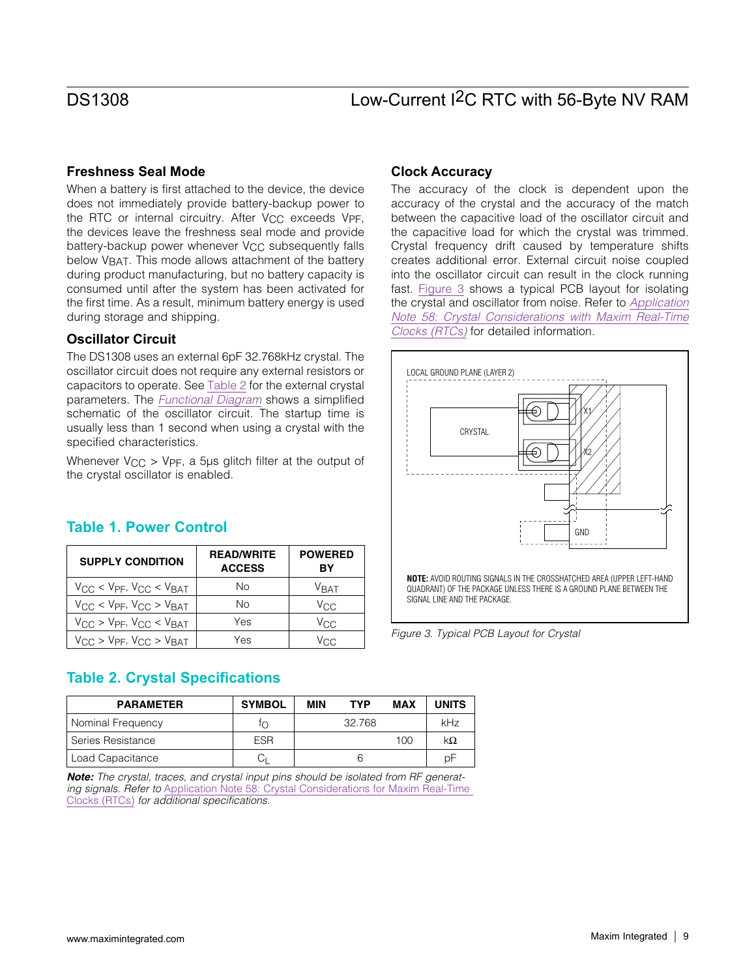### **Freshness Seal Mode**

When a battery is first attached to the device, the device does not immediately provide battery-backup power to the RTC or internal circuitry. After V<sub>CC</sub> exceeds V<sub>PF</sub>, the devices leave the freshness seal mode and provide battery-backup power whenever V<sub>CC</sub> subsequently falls below VBAT. This mode allows attachment of the battery during product manufacturing, but no battery capacity is consumed until after the system has been activated for the first time. As a result, minimum battery energy is used during storage and shipping.

### **Oscillator Circuit**

The DS1308 uses an external 6pF 32.768kHz crystal. The oscillator circuit does not require any external resistors or capacitors to operate. See [Table 2](#page-8-0) for the external crystal parameters. The *[Functional Diagram](#page-7-0)* shows a simplified schematic of the oscillator circuit. The startup time is usually less than 1 second when using a crystal with the specified characteristics.

Whenever  $V_{CC}$  > V<sub>PF</sub>, a 5µs glitch filter at the output of the crystal oscillator is enabled.

# **Table 1. Power Control**

| <b>SUPPLY CONDITION</b>                    | <b>READ/WRITE</b><br><b>ACCESS</b> | <b>POWERED</b><br>BY |
|--------------------------------------------|------------------------------------|----------------------|
| $V_{CC}$ < $V_{PF}$ , $V_{CC}$ < $V_{BAT}$ | Nο                                 | <b>V</b> RAT         |
| $V_{CC}$ < $V_{PF}$ , $V_{CC}$ > $V_{BAT}$ | No                                 | V <sub>CC</sub>      |
| $V_{CC}$ > $V_{PF}$ , $V_{CC}$ < $V_{BAT}$ | Yes                                | $V_{\rm CC}$         |
| $V_{CC}$ > $V_{PF}$ , $V_{CC}$ > $V_{BAT}$ | Yes                                | /rr                  |

## **Clock Accuracy**

The accuracy of the clock is dependent upon the accuracy of the crystal and the accuracy of the match between the capacitive load of the oscillator circuit and the capacitive load for which the crystal was trimmed. Crystal frequency drift caused by temperature shifts creates additional error. External circuit noise coupled into the oscillator circuit can result in the clock running fast. [Figure 3](#page-8-1) shows a typical PCB layout for isolating the crystal and oscillator from noise. Refer to *Application Note 58: Crystal Considerations with Maxim Real-Time Clocks (RTCs)* for detailed information.

<span id="page-8-1"></span>

*Figure 3. Typical PCB Layout for Crystal*

## <span id="page-8-0"></span>**Table 2. Crystal Specifications**

| <b>PARAMETER</b>  | <b>SYMBOL</b> | MIN | <b>TYP</b> | MAX | <b>UNITS</b> |
|-------------------|---------------|-----|------------|-----|--------------|
| Nominal Frequency | ∩             |     | 32.768     |     | kHz          |
| Series Resistance | <b>ESR</b>    |     |            | 100 | kΩ           |
| Load Capacitance  |               |     | 6          |     | рF           |

*Note: The crystal, traces, and crystal input pins should be isolated from RF generating signals. Refer to* [Application Note 58: Crystal Considerations for Maxim Real-Time](http://www.maxim-ic.com/AN58)  [Clocks](http://www.maxim-ic.com/AN58) (RTCs) *for additional specifications.*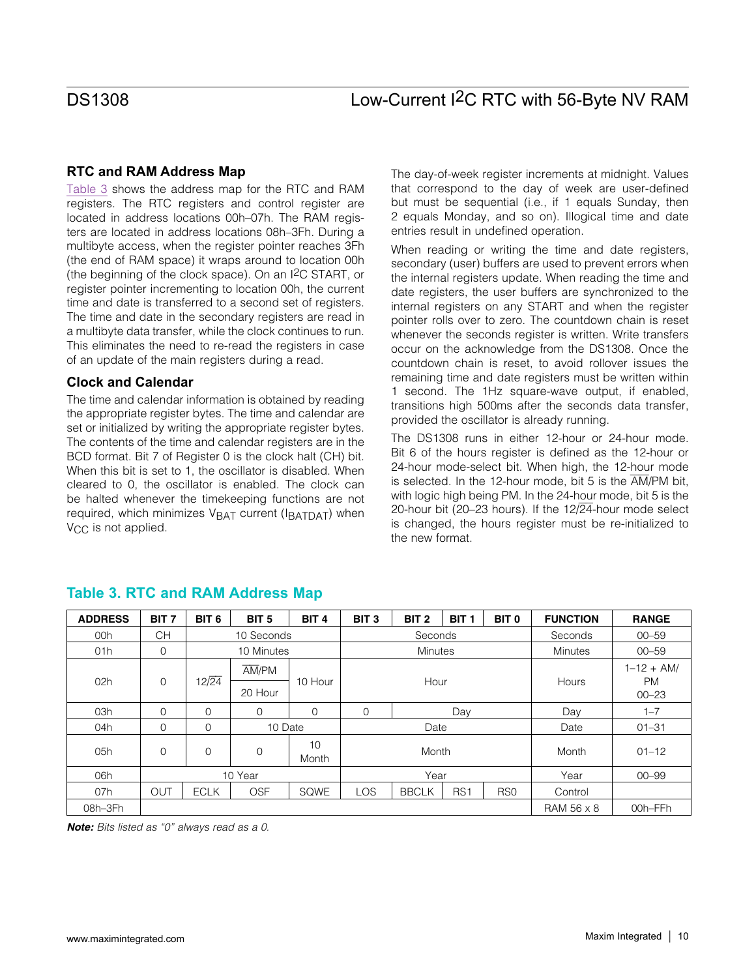### **RTC and RAM Address Map**

[Table 3](#page-9-0) shows the address map for the RTC and RAM registers. The RTC registers and control register are located in address locations 00h–07h. The RAM registers are located in address locations 08h–3Fh. During a multibyte access, when the register pointer reaches 3Fh (the end of RAM space) it wraps around to location 00h (the beginning of the clock space). On an I2C START, or register pointer incrementing to location 00h, the current time and date is transferred to a second set of registers. The time and date in the secondary registers are read in a multibyte data transfer, while the clock continues to run. This eliminates the need to re-read the registers in case of an update of the main registers during a read.

### **Clock and Calendar**

The time and calendar information is obtained by reading the appropriate register bytes. The time and calendar are set or initialized by writing the appropriate register bytes. The contents of the time and calendar registers are in the BCD format. Bit 7 of Register 0 is the clock halt (CH) bit. When this bit is set to 1, the oscillator is disabled. When cleared to 0, the oscillator is enabled. The clock can be halted whenever the timekeeping functions are not required, which minimizes  $V_{BAT}$  current ( $I_{BATDATA}$ ) when V<sub>CC</sub> is not applied.

The day-of-week register increments at midnight. Values that correspond to the day of week are user-defined but must be sequential (i.e., if 1 equals Sunday, then 2 equals Monday, and so on). Illogical time and date entries result in undefined operation.

When reading or writing the time and date registers, secondary (user) buffers are used to prevent errors when the internal registers update. When reading the time and date registers, the user buffers are synchronized to the internal registers on any START and when the register pointer rolls over to zero. The countdown chain is reset whenever the seconds register is written. Write transfers occur on the acknowledge from the DS1308. Once the countdown chain is reset, to avoid rollover issues the remaining time and date registers must be written within 1 second. The 1Hz square-wave output, if enabled, transitions high 500ms after the seconds data transfer, provided the oscillator is already running.

The DS1308 runs in either 12-hour or 24-hour mode. Bit 6 of the hours register is defined as the 12-hour or 24-hour mode-select bit. When high, the 12-hour mode is selected. In the 12-hour mode, bit 5 is the AM/PM bit, with logic high being PM. In the 24-hour mode, bit 5 is the 20-hour bit (20-23 hours). If the  $12\sqrt{24}$ -hour mode select is changed, the hours register must be re-initialized to the new format.

| <b>ADDRESS</b> | BIT <sub>7</sub> | BIT <sub>6</sub> | BIT <sub>5</sub> | BIT <sub>4</sub> | BIT <sub>3</sub> | BIT <sub>2</sub> | <b>BIT</b><br>1 | BIT <sub>0</sub> | <b>FUNCTION</b> | <b>RANGE</b>                       |
|----------------|------------------|------------------|------------------|------------------|------------------|------------------|-----------------|------------------|-----------------|------------------------------------|
| 00h            | <b>CH</b>        |                  | 10 Seconds       |                  |                  | Seconds          |                 |                  | Seconds         | $00 - 59$                          |
| 01h            | $\mathbf 0$      |                  | 10 Minutes       |                  |                  | <b>Minutes</b>   |                 |                  | <b>Minutes</b>  | $00 - 59$                          |
| 02h            | $\mathbf 0$      | $12\sqrt{24}$    | AM/PM<br>20 Hour | 10 Hour          |                  | Hour             |                 |                  | Hours           | $1 - 12 + AM/$<br>PM.<br>$00 - 23$ |
| 03h            | $\Omega$         | $\Omega$         | $\Omega$         | $\Omega$         | 0                |                  | Day             |                  | Day             | $1 - 7$                            |
| 04h            | $\mathbf 0$      | 0                | 10 Date          |                  |                  | Date             |                 |                  | Date            | $01 - 31$                          |
| 05h            | 0                | $\overline{0}$   | 0                | 10<br>Month      |                  | Month            |                 |                  | Month           | $01 - 12$                          |
| 06h            |                  |                  | 10 Year          |                  | Year             |                  |                 | Year             | $00 - 99$       |                                    |
| 07h            | OUT              | <b>ECLK</b>      | <b>OSF</b>       | SQWE             | LOS              | <b>BBCLK</b>     | RS <sub>1</sub> | R <sub>SO</sub>  | Control         |                                    |
| 08h-3Fh        |                  |                  |                  |                  |                  |                  |                 |                  | RAM 56 x 8      | 00h-FFh                            |

## <span id="page-9-0"></span>**Table 3. RTC and RAM Address Map**

*Note: Bits listed as "0" always read as a 0.*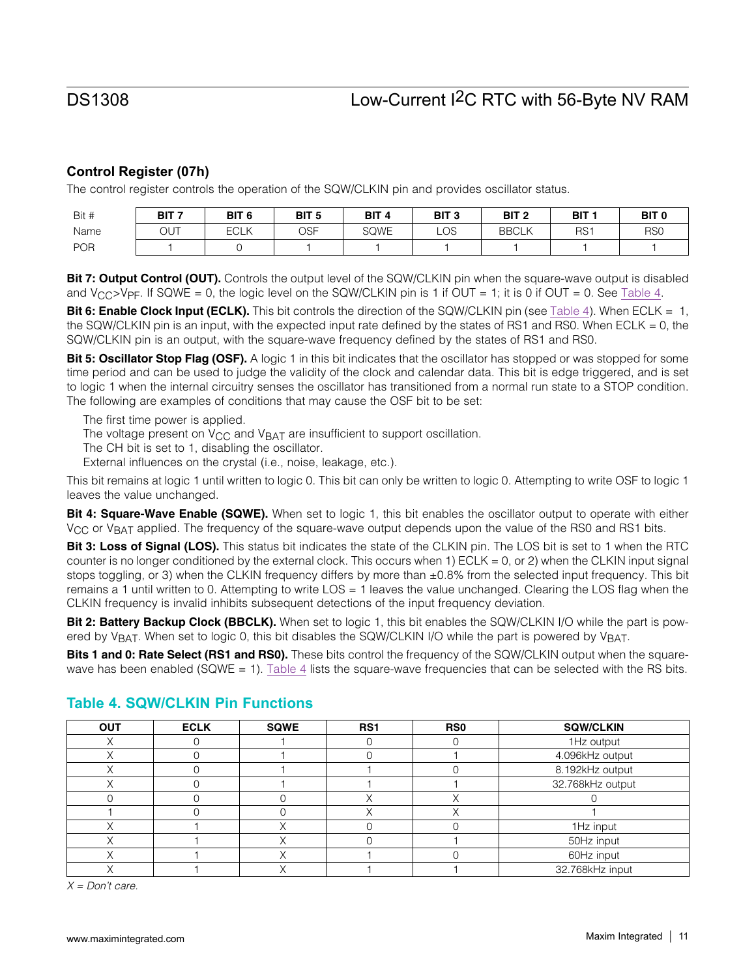## **Control Register (07h)**

The control register controls the operation of the SQW/CLKIN pin and provides oscillator status.

| Bit #      | BIT <sub>7</sub> | BIT <sub>6</sub> | BIT <sub>5</sub> | BIT <sub>4</sub> | BIT <sub>3</sub> | BIT <sub>2</sub> | BIT <sub>1</sub> | BIT <sub>0</sub> |
|------------|------------------|------------------|------------------|------------------|------------------|------------------|------------------|------------------|
| Name       | OUT              | <b>ECLK</b>      | <b>OSF</b>       | <b>SQWE</b>      | <b>LOS</b>       | <b>BBCLK</b>     | RS <sup>1</sup>  | R <sub>SO</sub>  |
| <b>POR</b> |                  |                  |                  |                  |                  |                  |                  |                  |

Bit 7: Output Control (OUT). Controls the output level of the SQW/CLKIN pin when the square-wave output is disabled and  $V_{\text{CC}}$ >V<sub>PF</sub>. If SQWE = 0, the logic level on the SQW/CLKIN pin is 1 if OUT = 1; it is 0 if OUT = 0. See [Table 4](#page-10-0).

Bit 6: Enable Clock Input (ECLK). This bit controls the direction of the SQW/CLKIN pin (see [Table 4](#page-10-0)). When ECLK = 1, the SQW/CLKIN pin is an input, with the expected input rate defined by the states of RS1 and RS0. When ECLK = 0, the SQW/CLKIN pin is an output, with the square-wave frequency defined by the states of RS1 and RS0.

Bit 5: Oscillator Stop Flag (OSF). A logic 1 in this bit indicates that the oscillator has stopped or was stopped for some time period and can be used to judge the validity of the clock and calendar data. This bit is edge triggered, and is set to logic 1 when the internal circuitry senses the oscillator has transitioned from a normal run state to a STOP condition. The following are examples of conditions that may cause the OSF bit to be set:

The first time power is applied.

The voltage present on  $V_{CC}$  and  $V_{BAT}$  are insufficient to support oscillation.

The CH bit is set to 1, disabling the oscillator.

External influences on the crystal (i.e., noise, leakage, etc.).

This bit remains at logic 1 until written to logic 0. This bit can only be written to logic 0. Attempting to write OSF to logic 1 leaves the value unchanged.

**Bit 4: Square-Wave Enable (SQWE).** When set to logic 1, this bit enables the oscillator output to operate with either V<sub>CC</sub> or V<sub>BAT</sub> applied. The frequency of the square-wave output depends upon the value of the RS0 and RS1 bits.

**Bit 3: Loss of Signal (LOS).** This status bit indicates the state of the CLKIN pin. The LOS bit is set to 1 when the RTC counter is no longer conditioned by the external clock. This occurs when 1) ECLK = 0, or 2) when the CLKIN input signal stops toggling, or 3) when the CLKIN frequency differs by more than  $\pm 0.8\%$  from the selected input frequency. This bit remains a 1 until written to 0. Attempting to write LOS = 1 leaves the value unchanged. Clearing the LOS flag when the CLKIN frequency is invalid inhibits subsequent detections of the input frequency deviation.

Bit 2: Battery Backup Clock (BBCLK). When set to logic 1, this bit enables the SQW/CLKIN I/O while the part is powered by V<sub>BAT</sub>. When set to logic 0, this bit disables the SQW/CLKIN I/O while the part is powered by V<sub>BAT</sub>.

**Bits 1 and 0: Rate Select (RS1 and RS0).** These bits control the frequency of the SQW/CLKIN output when the square-wave has been enabled (SQWE = 1). [Table 4](#page-10-0) lists the square-wave frequencies that can be selected with the RS bits.

| <b>OUT</b> | <b>ECLK</b> | <b>SQWE</b> | RS <sub>1</sub> | RS <sub>0</sub> | <b>SQW/CLKIN</b> |  |
|------------|-------------|-------------|-----------------|-----------------|------------------|--|
|            |             |             |                 |                 | 1Hz output       |  |
|            |             |             |                 |                 | 4.096kHz output  |  |
|            |             |             |                 |                 | 8.192kHz output  |  |
|            |             |             |                 |                 | 32.768kHz output |  |
|            |             |             |                 |                 |                  |  |
|            |             |             |                 |                 |                  |  |
|            |             |             |                 |                 | 1Hz input        |  |
|            |             |             |                 |                 | 50Hz input       |  |
|            |             |             |                 |                 | 60Hz input       |  |
|            |             |             |                 |                 | 32.768kHz input  |  |

## <span id="page-10-0"></span>**Table 4. SQW/CLKIN Pin Functions**

*X = Don't care.*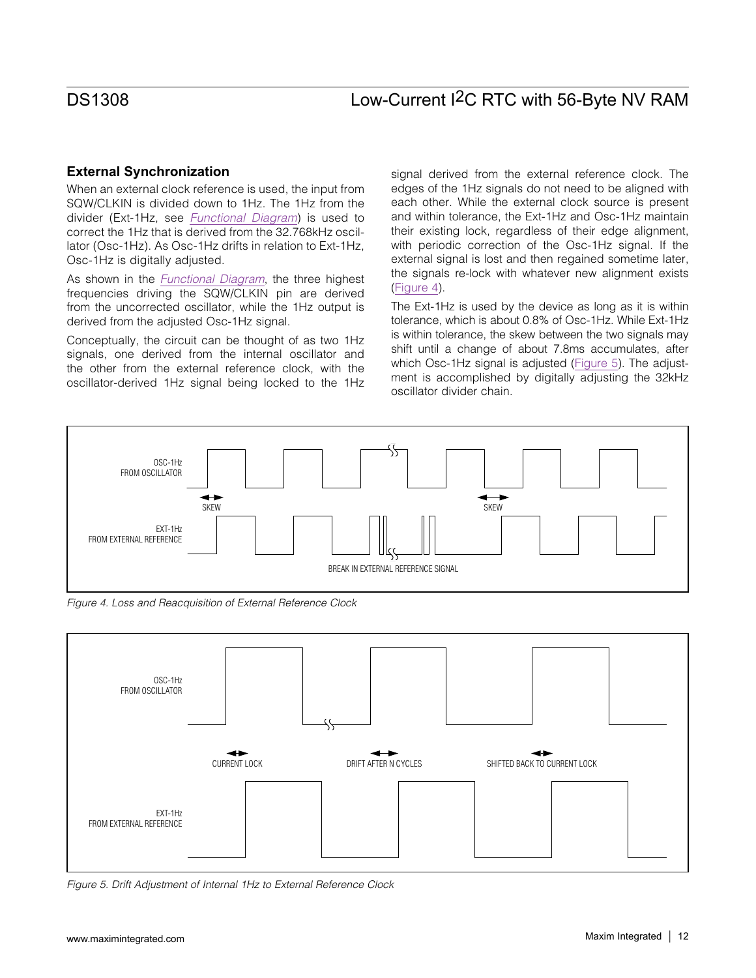### **External Synchronization**

When an external clock reference is used, the input from SQW/CLKIN is divided down to 1Hz. The 1Hz from the divider (Ext-1Hz, see *[Functional Diagram](#page-7-0)*) is used to correct the 1Hz that is derived from the 32.768kHz oscillator (Osc-1Hz). As Osc-1Hz drifts in relation to Ext-1Hz, Osc-1Hz is digitally adjusted.

As shown in the *[Functional Diagram](#page-7-0)*, the three highest frequencies driving the SQW/CLKIN pin are derived from the uncorrected oscillator, while the 1Hz output is derived from the adjusted Osc-1Hz signal.

Conceptually, the circuit can be thought of as two 1Hz signals, one derived from the internal oscillator and the other from the external reference clock, with the oscillator-derived 1Hz signal being locked to the 1Hz signal derived from the external reference clock. The edges of the 1Hz signals do not need to be aligned with each other. While the external clock source is present and within tolerance, the Ext-1Hz and Osc-1Hz maintain their existing lock, regardless of their edge alignment, with periodic correction of the Osc-1Hz signal. If the external signal is lost and then regained sometime later, the signals re-lock with whatever new alignment exists ([Figure 4](#page-11-0)).

The Ext-1Hz is used by the device as long as it is within tolerance, which is about 0.8% of Osc-1Hz. While Ext-1Hz is within tolerance, the skew between the two signals may shift until a change of about 7.8ms accumulates, after which Osc-1Hz signal is adjusted ([Figure 5\)](#page-11-1). The adjustment is accomplished by digitally adjusting the 32kHz oscillator divider chain.

<span id="page-11-0"></span>

*Figure 4. Loss and Reacquisition of External Reference Clock*

<span id="page-11-1"></span>

*Figure 5. Drift Adjustment of Internal 1Hz to External Reference Clock*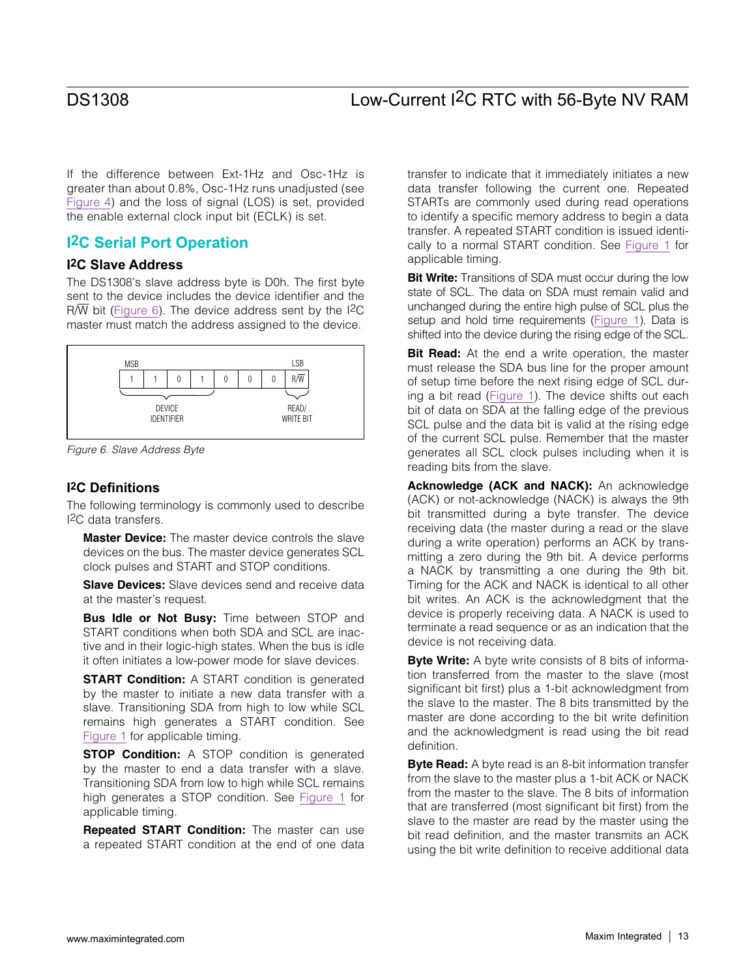If the difference between Ext-1Hz and Osc-1Hz is greater than about 0.8%, Osc-1Hz runs unadjusted (see [Figure 4\)](#page-11-0) and the loss of signal (LOS) is set, provided the enable external clock input bit (ECLK) is set.

## **I2C Serial Port Operation**

### **I2C Slave Address**

The DS1308's slave address byte is D0h. The first byte sent to the device includes the device identifier and the  $R/\overline{W}$  bit ([Figure 6](#page-12-0)). The device address sent by the I<sup>2</sup>C master must match the address assigned to the device.

<span id="page-12-0"></span>

*Figure 6. Slave Address Byte*

#### **I2C Definitions**

The following terminology is commonly used to describe I2C data transfers.

**Master Device:** The master device controls the slave devices on the bus. The master device generates SCL clock pulses and START and STOP conditions.

**Slave Devices:** Slave devices send and receive data at the master's request.

**Bus Idle or Not Busy:** Time between STOP and START conditions when both SDA and SCL are inactive and in their logic-high states. When the bus is idle it often initiates a low-power mode for slave devices.

**START Condition:** A START condition is generated by the master to initiate a new data transfer with a slave. Transitioning SDA from high to low while SCL remains high generates a START condition. See [Figure 1](#page-4-0) for applicable timing.

**STOP Condition:** A STOP condition is generated by the master to end a data transfer with a slave. Transitioning SDA from low to high while SCL remains high generates a STOP condition. See [Figure 1](#page-4-0) for applicable timing.

Repeated START Condition: The master can use a repeated START condition at the end of one data transfer to indicate that it immediately initiates a new data transfer following the current one. Repeated STARTs are commonly used during read operations to identify a specific memory address to begin a data transfer. A repeated START condition is issued identically to a normal START condition. See [Figure 1](#page-4-0) for applicable timing.

**Bit Write:** Transitions of SDA must occur during the low state of SCL. The data on SDA must remain valid and unchanged during the entire high pulse of SCL plus the setup and hold time requirements ([Figure 1](#page-4-0)). Data is shifted into the device during the rising edge of the SCL.

Bit Read: At the end a write operation, the master must release the SDA bus line for the proper amount of setup time before the next rising edge of SCL during a bit read ([Figure 1\)](#page-4-0). The device shifts out each bit of data on SDA at the falling edge of the previous SCL pulse and the data bit is valid at the rising edge of the current SCL pulse. Remember that the master generates all SCL clock pulses including when it is reading bits from the slave.

Acknowledge (ACK and NACK): An acknowledge (ACK) or not-acknowledge (NACK) is always the 9th bit transmitted during a byte transfer. The device receiving data (the master during a read or the slave during a write operation) performs an ACK by transmitting a zero during the 9th bit. A device performs a NACK by transmitting a one during the 9th bit. Timing for the ACK and NACK is identical to all other bit writes. An ACK is the acknowledgment that the device is properly receiving data. A NACK is used to terminate a read sequence or as an indication that the device is not receiving data.

**Byte Write:** A byte write consists of 8 bits of information transferred from the master to the slave (most significant bit first) plus a 1-bit acknowledgment from the slave to the master. The 8 bits transmitted by the master are done according to the bit write definition and the acknowledgment is read using the bit read definition.

**Byte Read:** A byte read is an 8-bit information transfer from the slave to the master plus a 1-bit ACK or NACK from the master to the slave. The 8 bits of information that are transferred (most significant bit first) from the slave to the master are read by the master using the bit read definition, and the master transmits an ACK using the bit write definition to receive additional data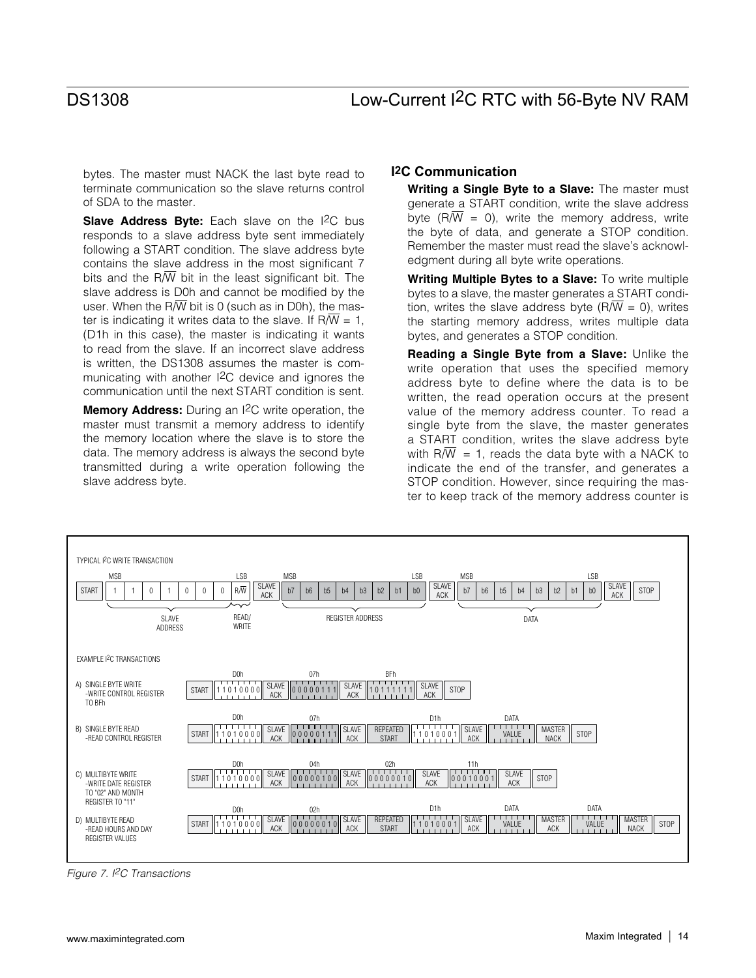bytes. The master must NACK the last byte read to terminate communication so the slave returns control of SDA to the master.

Slave Address Byte: Each slave on the I<sup>2</sup>C bus responds to a slave address byte sent immediately following a START condition. The slave address byte contains the slave address in the most significant 7 bits and the R $\overline{W}$  bit in the least significant bit. The slave address is D0h and cannot be modified by the user. When the R $\overline{W}$  bit is 0 (such as in D0h), the master is indicating it writes data to the slave. If R $\overline{W}$  = 1, (D1h in this case), the master is indicating it wants to read from the slave. If an incorrect slave address is written, the DS1308 assumes the master is communicating with another I2C device and ignores the communication until the next START condition is sent.

**Memory Address:** During an I<sup>2</sup>C write operation, the master must transmit a memory address to identify the memory location where the slave is to store the data. The memory address is always the second byte transmitted during a write operation following the slave address byte.

### **I2C Communication**

Writing a Single Byte to a Slave: The master must generate a START condition, write the slave address byte (R $\overline{W}$  = 0), write the memory address, write the byte of data, and generate a STOP condition. Remember the master must read the slave's acknowledgment during all byte write operations.

Writing Multiple Bytes to a Slave: To write multiple bytes to a slave, the master generates a START condition, writes the slave address byte  $(R/\overline{W} = 0)$ , writes the starting memory address, writes multiple data bytes, and generates a STOP condition.

Reading a Single Byte from a Slave: Unlike the write operation that uses the specified memory address byte to define where the data is to be written, the read operation occurs at the present value of the memory address counter. To read a single byte from the slave, the master generates a START condition, writes the slave address byte with  $R/\overline{W}$  = 1, reads the data byte with a NACK to indicate the end of the transfer, and generates a STOP condition. However, since requiring the master to keep track of the memory address counter is

<span id="page-13-0"></span>

*Figure 7. I2C Transactions*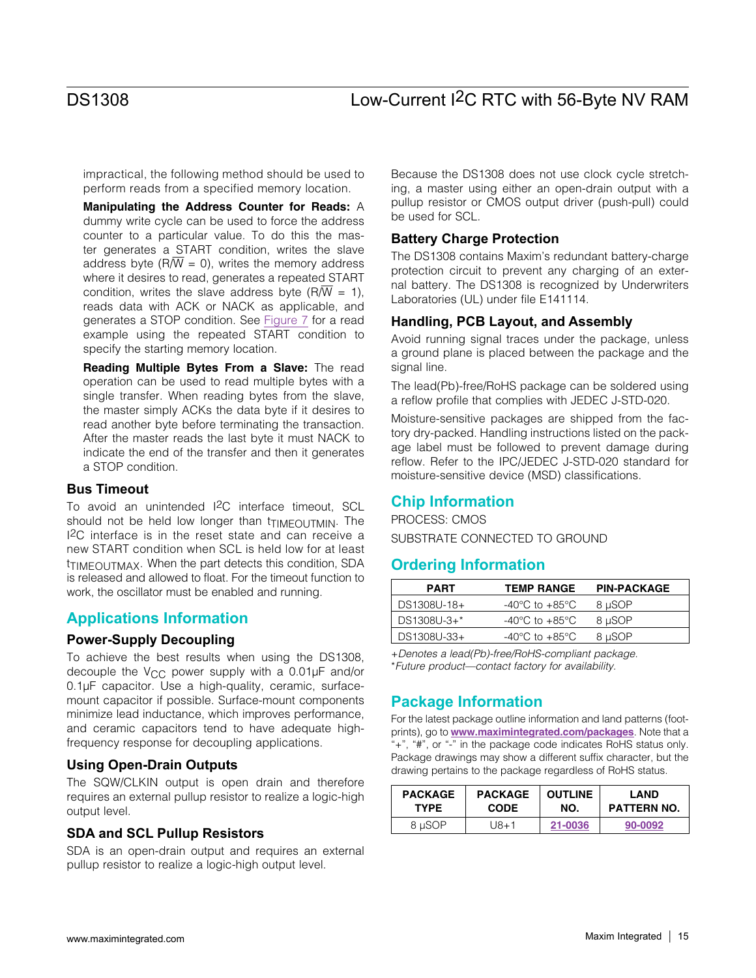impractical, the following method should be used to perform reads from a specified memory location.

Manipulating the Address Counter for Reads: A dummy write cycle can be used to force the address counter to a particular value. To do this the master generates a START condition, writes the slave address byte ( $R/\overline{W}$  = 0), writes the memory address where it desires to read, generates a repeated START condition, writes the slave address byte (R $\overline{W}$  = 1), reads data with ACK or NACK as applicable, and generates a STOP condition. See [Figure 7](#page-13-0) for a read example using the repeated START condition to specify the starting memory location.

Reading Multiple Bytes From a Slave: The read operation can be used to read multiple bytes with a single transfer. When reading bytes from the slave, the master simply ACKs the data byte if it desires to read another byte before terminating the transaction. After the master reads the last byte it must NACK to indicate the end of the transfer and then it generates a STOP condition.

#### **Bus Timeout**

To avoid an unintended I2C interface timeout, SCL should not be held low longer than triMEOUTMIN. The I2C interface is in the reset state and can receive a new START condition when SCL is held low for at least tTIMEOUTMAX. When the part detects this condition, SDA is released and allowed to float. For the timeout function to work, the oscillator must be enabled and running.

### **Applications Information**

#### **Power-Supply Decoupling**

To achieve the best results when using the DS1308, decouple the  $V_{CC}$  power supply with a 0.01 $\mu$ F and/or 0.1µF capacitor. Use a high-quality, ceramic, surfacemount capacitor if possible. Surface-mount components minimize lead inductance, which improves performance, and ceramic capacitors tend to have adequate highfrequency response for decoupling applications.

#### **Using Open-Drain Outputs**

The SQW/CLKIN output is open drain and therefore requires an external pullup resistor to realize a logic-high output level.

#### **SDA and SCL Pullup Resistors**

SDA is an open-drain output and requires an external pullup resistor to realize a logic-high output level.

Because the DS1308 does not use clock cycle stretching, a master using either an open-drain output with a pullup resistor or CMOS output driver (push-pull) could be used for SCL.

#### **Battery Charge Protection**

The DS1308 contains Maxim's redundant battery-charge protection circuit to prevent any charging of an external battery. The DS1308 is recognized by Underwriters Laboratories (UL) under file E141114.

#### **Handling, PCB Layout, and Assembly**

Avoid running signal traces under the package, unless a ground plane is placed between the package and the signal line.

The lead(Pb)-free/RoHS package can be soldered using a reflow profile that complies with JEDEC J-STD-020.

Moisture-sensitive packages are shipped from the factory dry-packed. Handling instructions listed on the package label must be followed to prevent damage during reflow. Refer to the IPC/JEDEC J-STD-020 standard for moisture-sensitive device (MSD) classifications.

## **Chip Information**

PROCESS: CMOS SUBSTRATE CONNECTED TO GROUND

## <span id="page-14-0"></span>**Ordering Information**

| <b>PART</b>   | <b>TEMP RANGE</b>                  | <b>PIN-PACKAGE</b> |
|---------------|------------------------------------|--------------------|
| DS1308U-18+   | $-40^{\circ}$ C to $+85^{\circ}$ C | 8 µSOP             |
| $DS1308U-3+*$ | -40°C to $+85^{\circ}$ C           | 8 µSOP             |
| DS1308U-33+   | $-40^{\circ}$ C to $+85^{\circ}$ C | 8 µSOP             |

+*Denotes a lead(Pb)-free/RoHS-compliant package.* \**Future product—contact factory for availability.*

## **Package Information**

For the latest package outline information and land patterns (footprints), go to **<www.maximintegrated.com/packages>**. Note that a "+", "#", or "-" in the package code indicates RoHS status only. Package drawings may show a different suffix character, but the drawing pertains to the package regardless of RoHS status.

| <b>PACKAGE</b> | <b>PACKAGE</b> | <b>OUTLINE</b> | LAND               |  |
|----------------|----------------|----------------|--------------------|--|
| <b>TYPE</b>    | <b>CODE</b>    | NO.            | <b>PATTERN NO.</b> |  |
| 8 µSOP         | U8+1           | 21-0036        | 90-0092            |  |